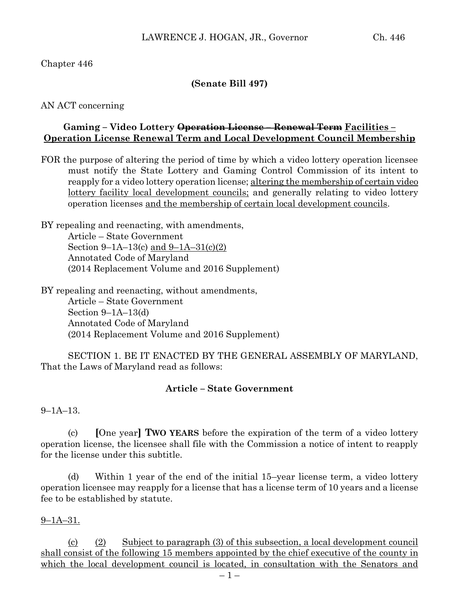# Chapter 446

# **(Senate Bill 497)**

AN ACT concerning

## **Gaming – Video Lottery Operation License – Renewal Term Facilities – Operation License Renewal Term and Local Development Council Membership**

FOR the purpose of altering the period of time by which a video lottery operation licensee must notify the State Lottery and Gaming Control Commission of its intent to reapply for a video lottery operation license; altering the membership of certain video lottery facility local development councils; and generally relating to video lottery operation licenses and the membership of certain local development councils.

BY repealing and reenacting, with amendments, Article – State Government Section 9–1A–13(c) and 9–1A–31(c)(2) Annotated Code of Maryland (2014 Replacement Volume and 2016 Supplement)

BY repealing and reenacting, without amendments, Article – State Government Section 9–1A–13(d) Annotated Code of Maryland (2014 Replacement Volume and 2016 Supplement)

SECTION 1. BE IT ENACTED BY THE GENERAL ASSEMBLY OF MARYLAND, That the Laws of Maryland read as follows:

## **Article – State Government**

9–1A–13.

(c) **[**One year**] TWO YEARS** before the expiration of the term of a video lottery operation license, the licensee shall file with the Commission a notice of intent to reapply for the license under this subtitle.

(d) Within 1 year of the end of the initial 15–year license term, a video lottery operation licensee may reapply for a license that has a license term of 10 years and a license fee to be established by statute.

## $9 - 1A - 31.$

(c) (2) Subject to paragraph (3) of this subsection, a local development council shall consist of the following 15 members appointed by the chief executive of the county in which the local development council is located, in consultation with the Senators and